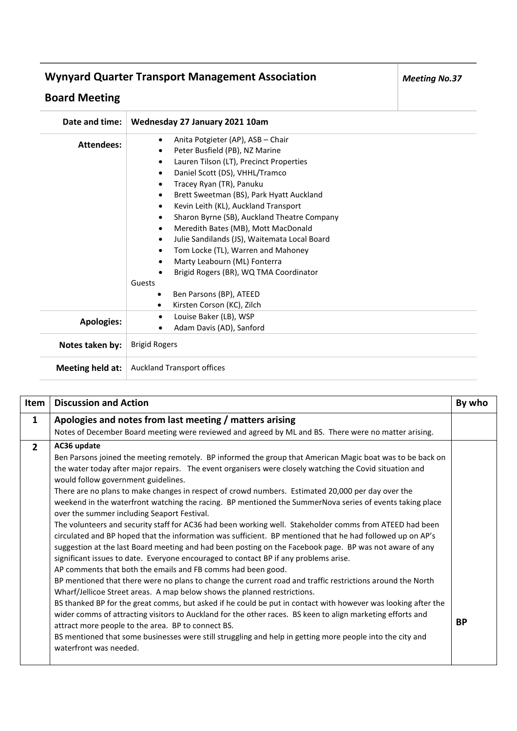## **Wynyard Quarter Transport Management Association**

## **Board Meeting**

| Date and time:    | Wednesday 27 January 2021 10am                                                                                                                                                                                                                                                                                                                                                                                                                                                                                                                                                                   |
|-------------------|--------------------------------------------------------------------------------------------------------------------------------------------------------------------------------------------------------------------------------------------------------------------------------------------------------------------------------------------------------------------------------------------------------------------------------------------------------------------------------------------------------------------------------------------------------------------------------------------------|
| <b>Attendees:</b> | Anita Potgieter (AP), ASB - Chair<br>$\bullet$<br>Peter Busfield (PB), NZ Marine<br>٠<br>Lauren Tilson (LT), Precinct Properties<br>$\bullet$<br>Daniel Scott (DS), VHHL/Tramco<br>٠<br>Tracey Ryan (TR), Panuku<br>٠<br>Brett Sweetman (BS), Park Hyatt Auckland<br>$\bullet$<br>Kevin Leith (KL), Auckland Transport<br>$\bullet$<br>Sharon Byrne (SB), Auckland Theatre Company<br>$\bullet$<br>Meredith Bates (MB), Mott MacDonald<br>٠<br>Julie Sandilands (JS), Waitemata Local Board<br>$\bullet$<br>Tom Locke (TL), Warren and Mahoney<br>$\bullet$<br>Marty Leabourn (ML) Fonterra<br>٠ |
|                   | Brigid Rogers (BR), WQ TMA Coordinator<br>Guests<br>Ben Parsons (BP), ATEED<br>$\bullet$<br>Kirsten Corson (KC), Zilch<br>$\bullet$                                                                                                                                                                                                                                                                                                                                                                                                                                                              |
| <b>Apologies:</b> | Louise Baker (LB), WSP<br>$\bullet$<br>Adam Davis (AD), Sanford                                                                                                                                                                                                                                                                                                                                                                                                                                                                                                                                  |
| Notes taken by:   | <b>Brigid Rogers</b>                                                                                                                                                                                                                                                                                                                                                                                                                                                                                                                                                                             |
| Meeting held at:  | <b>Auckland Transport offices</b>                                                                                                                                                                                                                                                                                                                                                                                                                                                                                                                                                                |

| Item           | <b>Discussion and Action</b>                                                                                  | By who    |
|----------------|---------------------------------------------------------------------------------------------------------------|-----------|
| $\mathbf{1}$   | Apologies and notes from last meeting / matters arising                                                       |           |
|                | Notes of December Board meeting were reviewed and agreed by ML and BS. There were no matter arising.          |           |
| $\overline{2}$ | AC36 update                                                                                                   |           |
|                | Ben Parsons joined the meeting remotely. BP informed the group that American Magic boat was to be back on     |           |
|                | the water today after major repairs. The event organisers were closely watching the Covid situation and       |           |
|                | would follow government guidelines.                                                                           |           |
|                | There are no plans to make changes in respect of crowd numbers. Estimated 20,000 per day over the             |           |
|                | weekend in the waterfront watching the racing. BP mentioned the SummerNova series of events taking place      |           |
|                | over the summer including Seaport Festival.                                                                   |           |
|                | The volunteers and security staff for AC36 had been working well. Stakeholder comms from ATEED had been       |           |
|                | circulated and BP hoped that the information was sufficient. BP mentioned that he had followed up on AP's     |           |
|                | suggestion at the last Board meeting and had been posting on the Facebook page. BP was not aware of any       |           |
|                | significant issues to date. Everyone encouraged to contact BP if any problems arise.                          |           |
|                | AP comments that both the emails and FB comms had been good.                                                  |           |
|                | BP mentioned that there were no plans to change the current road and traffic restrictions around the North    |           |
|                | Wharf/Jellicoe Street areas. A map below shows the planned restrictions.                                      |           |
|                | BS thanked BP for the great comms, but asked if he could be put in contact with however was looking after the |           |
|                | wider comms of attracting visitors to Auckland for the other races. BS keen to align marketing efforts and    |           |
|                | attract more people to the area. BP to connect BS.                                                            | <b>BP</b> |
|                | BS mentioned that some businesses were still struggling and help in getting more people into the city and     |           |
|                | waterfront was needed.                                                                                        |           |
|                |                                                                                                               |           |

*Meeting No.37*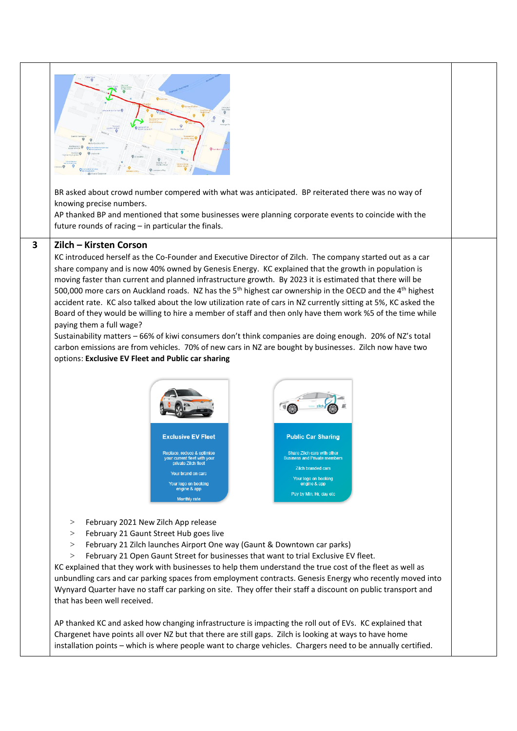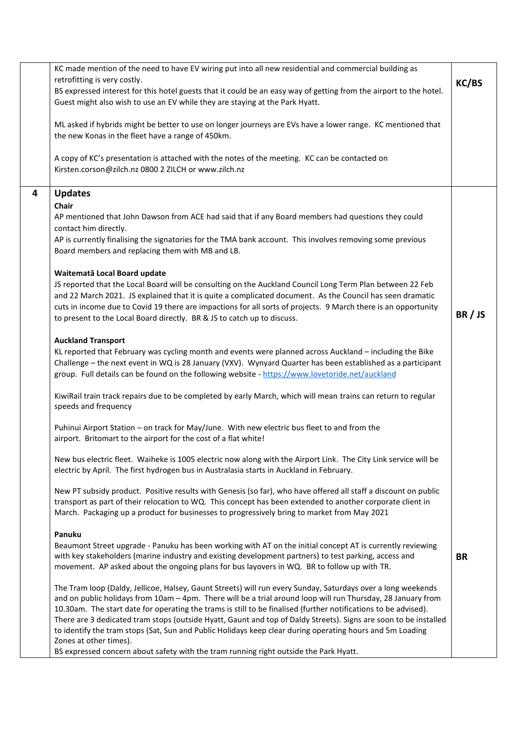|   | KC made mention of the need to have EV wiring put into all new residential and commercial building as<br>retrofitting is very costly.<br>BS expressed interest for this hotel guests that it could be an easy way of getting from the airport to the hotel.<br>Guest might also wish to use an EV while they are staying at the Park Hyatt.                                                                                                                                                                                                                                                                                                                                                         | KC/BS     |
|---|-----------------------------------------------------------------------------------------------------------------------------------------------------------------------------------------------------------------------------------------------------------------------------------------------------------------------------------------------------------------------------------------------------------------------------------------------------------------------------------------------------------------------------------------------------------------------------------------------------------------------------------------------------------------------------------------------------|-----------|
|   | ML asked if hybrids might be better to use on longer journeys are EVs have a lower range. KC mentioned that<br>the new Konas in the fleet have a range of 450km.                                                                                                                                                                                                                                                                                                                                                                                                                                                                                                                                    |           |
|   | A copy of KC's presentation is attached with the notes of the meeting. KC can be contacted on<br>Kirsten.corson@zilch.nz 0800 2 ZILCH or www.zilch.nz                                                                                                                                                                                                                                                                                                                                                                                                                                                                                                                                               |           |
| 4 | <b>Updates</b><br>Chair<br>AP mentioned that John Dawson from ACE had said that if any Board members had questions they could<br>contact him directly.<br>AP is currently finalising the signatories for the TMA bank account. This involves removing some previous<br>Board members and replacing them with MB and LB.<br>Waitematā Local Board update                                                                                                                                                                                                                                                                                                                                             |           |
|   | JS reported that the Local Board will be consulting on the Auckland Council Long Term Plan between 22 Feb<br>and 22 March 2021. JS explained that it is quite a complicated document. As the Council has seen dramatic<br>cuts in income due to Covid 19 there are impactions for all sorts of projects. 9 March there is an opportunity<br>to present to the Local Board directly. BR & JS to catch up to discuss.                                                                                                                                                                                                                                                                                 | BR/JS     |
|   | <b>Auckland Transport</b><br>KL reported that February was cycling month and events were planned across Auckland - including the Bike<br>Challenge - the next event in WQ is 28 January (VXV). Wynyard Quarter has been established as a participant<br>group. Full details can be found on the following website - https://www.lovetoride.net/auckland                                                                                                                                                                                                                                                                                                                                             |           |
|   | KiwiRail train track repairs due to be completed by early March, which will mean trains can return to regular<br>speeds and frequency                                                                                                                                                                                                                                                                                                                                                                                                                                                                                                                                                               |           |
|   | Puhinui Airport Station - on track for May/June. With new electric bus fleet to and from the<br>airport. Britomart to the airport for the cost of a flat white!                                                                                                                                                                                                                                                                                                                                                                                                                                                                                                                                     |           |
|   | New bus electric fleet. Waiheke is 1005 electric now along with the Airport Link. The City Link service will be<br>electric by April. The first hydrogen bus in Australasia starts in Auckland in February.                                                                                                                                                                                                                                                                                                                                                                                                                                                                                         |           |
|   | New PT subsidy product. Positive results with Genesis (so far), who have offered all staff a discount on public<br>transport as part of their relocation to WQ. This concept has been extended to another corporate client in<br>March. Packaging up a product for businesses to progressively bring to market from May 2021                                                                                                                                                                                                                                                                                                                                                                        |           |
|   | Panuku<br>Beaumont Street upgrade - Panuku has been working with AT on the initial concept AT is currently reviewing<br>with key stakeholders (marine industry and existing development partners) to test parking, access and<br>movement. AP asked about the ongoing plans for bus layovers in WQ. BR to follow up with TR.                                                                                                                                                                                                                                                                                                                                                                        | <b>BR</b> |
|   | The Tram loop (Daldy, Jellicoe, Halsey, Gaunt Streets) will run every Sunday, Saturdays over a long weekends<br>and on public holidays from 10am - 4pm. There will be a trial around loop will run Thursday, 28 January from<br>10.30am. The start date for operating the trams is still to be finalised (further notifications to be advised).<br>There are 3 dedicated tram stops (outside Hyatt, Gaunt and top of Daldy Streets). Signs are soon to be installed<br>to identify the tram stops (Sat, Sun and Public Holidays keep clear during operating hours and 5m Loading<br>Zones at other times).<br>BS expressed concern about safety with the tram running right outside the Park Hyatt. |           |
|   |                                                                                                                                                                                                                                                                                                                                                                                                                                                                                                                                                                                                                                                                                                     |           |